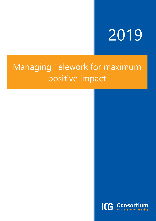# 2019

# Managing Telework for maximum positive impact

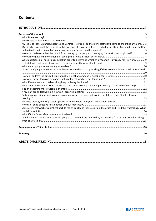| My job is to Plan, Organise, Execute and Control. How can I do that if my staff don't come to the office anymore?5<br>My Director is against the principle of teleworking, she tolerates it but clearly doesn't like it. Can you help me better<br>How can I make sure that the switch from managing the people to managing the work is accomplished?6 |  |
|--------------------------------------------------------------------------------------------------------------------------------------------------------------------------------------------------------------------------------------------------------------------------------------------------------------------------------------------------------|--|
|                                                                                                                                                                                                                                                                                                                                                        |  |
| What questions do I need to ask myself in order to determine whether my team is truly ready for telework?  9                                                                                                                                                                                                                                           |  |
|                                                                                                                                                                                                                                                                                                                                                        |  |
| I have some people who I'm afraid will never know when to stop working if they telework. What do I do about that?                                                                                                                                                                                                                                      |  |
|                                                                                                                                                                                                                                                                                                                                                        |  |
|                                                                                                                                                                                                                                                                                                                                                        |  |
|                                                                                                                                                                                                                                                                                                                                                        |  |
| What about newcomers? How can I make sure they are doing their job, particularly if they are teleworking? 11                                                                                                                                                                                                                                           |  |
|                                                                                                                                                                                                                                                                                                                                                        |  |
| Body language is important to communication, won't messages get lost in translation if I don't hold physical                                                                                                                                                                                                                                           |  |
|                                                                                                                                                                                                                                                                                                                                                        |  |
|                                                                                                                                                                                                                                                                                                                                                        |  |
| Some of my teleworkers don't get back to me as quickly as they used to in the office and I find this frustrating. What                                                                                                                                                                                                                                 |  |
|                                                                                                                                                                                                                                                                                                                                                        |  |
| I think it important and courteous for people to communicate where they are working from if they are teleworking,                                                                                                                                                                                                                                      |  |
|                                                                                                                                                                                                                                                                                                                                                        |  |
|                                                                                                                                                                                                                                                                                                                                                        |  |
|                                                                                                                                                                                                                                                                                                                                                        |  |
|                                                                                                                                                                                                                                                                                                                                                        |  |

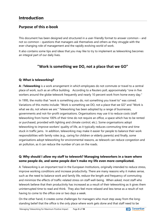# <span id="page-3-0"></span>**Introduction**

## <span id="page-3-1"></span>**Purpose of this e-book**

This document has been designed and structured in a user-friendly format to answer common – and not so common – questions that managers ask themselves and others as they struggle with the ever-changing role of management and the rapidly evolving world of work.

It also contains some tips and ideas that you may like to try to implement as teleworking becomes an integral part of our daily lives.

## **"Work is something we DO, not a place that we GO"**

#### <span id="page-3-2"></span>**Q: What is teleworking?**

**A : Teleworking** is a work arrangement in which employees do not commute or travel to a central place of work, such as an office building. According to a Reuters poll, approximately "one in five workers around the globe telework frequently and nearly 10 percent work from home every day."

In 1995, the motto that "work is something you do, not something you travel to" was coined. Variations of this motto include: "Work is something we DO, not a place that we GO" and "Work is what we do, not where we are." Teleworking has been adopted by a range of businesses, governments and not-for-profit organisations. Organisations may use it to reduce costs (staff teleworking from home 100% of their time do not require an office, a space which has to be rented or purchased, provided with lighting and climate control, etc.). Some organisations adopt teleworking to improve workers' quality of life, as it typically reduces commuting time and time stuck in traffic jams. In addition, teleworking may make it easier for people to balance their work responsibilities with family roles (e.g., caring for children or elderly parents) and finally, some organisations adopt teleworking for environmental reasons, as telework can reduce congestion and air pollution, as it can reduce the number of cars on the roads.

#### <span id="page-3-3"></span>**Q: Why should I allow my staff to telework? Managing teleworkers in a team where some people do, and some people don't make my life even more complicated.**

A: Teleworking is an important tool in the European Institutions, originally intended to reduce stress, improve working conditions and increase productivity. There are many reasons why it makes sense, such as the need to balance work and family life, reduce the length and frequency of commuting and minimize the effects of traffic-related stress on staff well-being. When asked, most staff who telework believe that their productivity has increased as a result of their teleworking as it gives them uninterrupted time to read and think. They also feel more relaxed and less tense as a result of not having to come to the office one or two days a week.

On the other hand, it creates some challenges for managers who must step away from the longstanding belief that the office is the only place where work gets done and that staff need to be

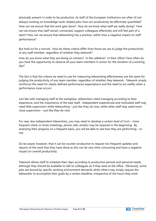physically present in order to be productive. As staff of the European Institutions are often (if not always) working on knowledge work-related jobs, how can productivity be effectively quantified? How can we ensure that the work gets done? How do we know what staff are really doing? How can we ensure that staff remain connected, support colleagues effectively and still feel part of a team? How can we ensure that teleworking has a positive, rather than a negative impact on staff performance?

But hold on for a minute. How do these criteria differ from those we use to judge the productivity of any staff member, regardless of whether they telework?

How do you know what they are doing on mission? In the cafeteria? In their office? How often do you have the opportunity to observe all your team members in action for the duration of a working day?

The fact is that the criteria we need to use for measuring teleworking effectiveness are the same for judging the productivity of any team member, regardless of whether they telework. Telework simply reinforces the need for clearly defined performance expectations and the need to act swiftly when a performance issue occurs.

Just like with managing staff at the workplace, teleworkers need managing according to their experience, and the importance of the task itself. Independent experienced and motivated staff may need little supervision while teleworking – just like they do now, while other staff may need more close supervision – just like they do now.

For new, less independent teleworkers, you may need to develop a certain level of trust – more frequent check-in times (meetings, phone calls, emails) may be required in the beginning. By assessing their progress on a frequent basis, you will be able to see how they are performing – or not.

Do be aware, however, that it can be counter-productive to request too frequent updates and reports of the work that they have done as this can be very time-consuming and have a negative impact on overall productivity.

Telework allows staff to schedule their days according to productive periods and personal needs, although they should be available to talk to colleagues as if they were at the office. Obviously, some jobs are bound by specific working environment demands while others may simply require the teleworker to accomplish their goals by a certain deadline, irrespective of the hours they work.

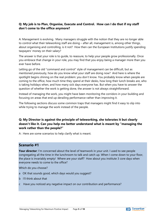#### <span id="page-5-0"></span>**Q: My job is to Plan, Organise, Execute and Control. How can I do that if my staff don't come to the office anymore?**

A: Management is evolving. Many managers struggle with the notion that they are no longer able to control what their teleworking staff are doing – after all, management is, among other things, about organising and controlling, is it not? How then can the European Institutions justify spending taxpayers' money on their salary?

The answer is that your role is to guide, to reassure, to help your people grow professionally. Once you embrace that change in your role, you may find that you enjoy being a manager more than you ever have before.

Letting go of the old "command and control" style of management can be difficult, but as mentioned previously, how do you know what your staff are doing now? And here is where the spotlight begins shining on the real problem: you don't know. You probably know when people are coming to the office, how much time they spend at their desks, how long their lunch breaks are, who is taking holidays when, and how many sick days everyone has. But when you have to answer the question of whether the work is getting done, the answer is not always straightforward.

Instead of managing the work, you might have been monitoring the corridors in your building and focusing on areas that end up derailing performance rather than improving it.

The following sections discuss some common traps that managers might find it easy to slip into while trying to manage the work instead of the people.

#### <span id="page-5-1"></span>**Q: My Director is against the principle of teleworking, she tolerates it but clearly doesn't like it. Can you help me better understand what is meant by "managing the work rather than the people?"**

A : Here are some scenarios to help clarify what is meant.

#### **Scenario #1**

**Your director**: I'm concerned about the level of teamwork in your unit. I used to see people congregating all the time in the lunchroom to talk and catch up. When I come down to your floor, the place is invariably empty! Where are your staff? How about you institute 3 core days when everyone needs to come to the office?

Which do you choose?

- a OK that sounds good, which days would you suggest?
- b I'll think about that
- c Have you noticed any negative impact on our contribution and performance?

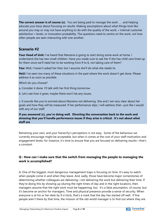**The correct answer is of course (c).** You are being paid to manage the work . . . and helping educate your boss about focusing on results. Making assumptions about what things look like around you may or may not have anything to do with the quality of the work, « internal customer satisfaction » levels, or innovation probability. The questions need to centre on the work, not how often people are seen interacting with one another.

#### **Scenario #2**

**Your Head of Unit:** I've heard that Marzena is going to start doing some work at home. I understand she has two small children. Have you made sure to ask her if she has child care lined up for them since we'll need her to be working from 9 to 6, not taking care of them?

**You:** Well, I haven't asked her that, but I assume she'll do what she needs to.

**HoU:** I've seen too many of these situations in the past where the work doesn't get done. Please address it as soon as possible.

Which do you choose?

a. Consider it done. I'll talk with her first thing tomorrow.

b. Let's see how it goes; maybe there won't be any issues.

c. It sounds like you're worried about Marzena not delivering. She and I are very clear about her goals and how they will be measured. If her performance slips, I will address that—just like I would with any of our staff.

**If you answered (c), you're doing well. Directing the conversation back to the work and stressing that you'll handle performance issues if they arise is critical. It's not about what staff are** 

Retraining your own, and your hierarchy's perceptions is not easy. Some of the behaviour we currently encourage might be acceptable, but when it comes at the cost of your staff motivation and engagement levels, for instance, it's time to ensure that you are focused on delivering results—that's a constant.

#### <span id="page-6-0"></span>**Q : How can I make sure that the switch from managing the people to managing the work is accomplished?**

A: One of the biggest, most dangerous management traps is focusing on time. It's easy to watch when people come in and when they leave. And, sadly, those have become major cornerstones of determining whether colleagues are delivering—not delivering the work but delivering their time. If they're doing this by showing up (during the right times of day and in the right location), then managers assume that the right work must be happening, too. It's a false assumption, of course, but it's become an anchor for managers. Time and physical presence provide a sense of security. When everyone is at his or her desk by 9 o'clock, that's a mark that the day has started off well. If five people aren't there by that time, the mission of the old-world manager is to find out where they are

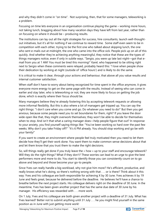and why they didn't come in "on time". Not surprising, then, that for some managers, teleworking is a problem.

Focusing on time lets everyone in an organisation continue playing the game – working more hours, not taking lunch, bragging about how many vacation days they have left from last year, rather than on focusing on where it should be – producing results.

The institutions can lay out all the right strategies for success, hire consultants, launch well-thoughtout initiatives, but it's all for nothing if we continue to reward time. Some staff even seem to be in competition with each other, trying to be the first one who talked about skipping lunch, the one who sent e-mails out at midnight, the one who came into the office sick. People pick up on all of this quickly. And whether they're achieving anything meaningful, they notice that these are the types of things managers notice, even if only in subtle ways. "Sergio, you were up late last night—got that email from you at 1 AM! You must be tired this morning!" Karel, who happened to be sitting right next to Sergio when these comments were relayed, probably heard this: "I love when people show their dedication by working at night (outside of 'office hours') and is likely to do the same.

It is critical to make it clear, through your actions and behaviour, that above all you value results and internal customer satisfaction.

When staff don't have to worry about being recognized for time spent in the office anymore, it gives everyone more energy to get on the same page with the results. Instead of seeing who can come in earlier and stay later, who is teleworking or not, they are more likely to focus on getting the job done, which is exactly where their focus should be.

Many managers believe they're already fostering this by accepting telework requests or allowing more informal flexibility. But this is also where a lot of managers get tripped up. You can say the right things: "I don't care when you come and go. Do whatever you need to do!" But then you get anxious, because some people need you to set boundaries for them, right? If you leave the door wide open like that, they might overwork themselves; they won't be able to decide for themselves when to stop. And isn't that what a caring manager does—help people figure that out? In response to your anxiety, you find yourself saying things like: "You've been working so hard over the past few weeks. Why don't you take Friday off?" "It's 6 PM already. You should stop working and go be with your family!"

If you want to create an environment where people feel truly motivated then you need to let them decide how they'll get their work done. You want them to make common sense decisions about that and let them know that you trust them to make the right decisions.

So, will things really get done if you truly leave the « how » up to your staff and encourage telework? Will they do the right things? What if they don't? These worries can lead to an urge to give the best performers more and more to do. You start to identify those you can consistently count on to go above and beyond and those become your go-to people.

Since Yves can really handle a big workload, why not give him more? He's efficient, productive, and really knows what he's doing, so there's nothing wrong with that . . . or is there? Think about it this way: Yves and his colleague are both responsible for achieving X by 30 June. Yves achieves it by 19 June and feels great, because he delivered before the deadline. He believes he'll have a chance to breathe before the next project starts. His colleague delivers right on the deadline of 30 June. In the meantime, Yves has been given another project that has the same due date of 30 June by his manager. His efficiency was rewarded with . . . more work.

On 1 July, Yves and his colleague are both given another project with a deadline of 31 July. What has Yves learned? Better not to submit anything until 31 July . . . he you might find yourself in the same position as in June with just getting more work!

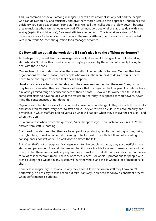This is a common behaviour among managers. There's a lot accomplish; why not find the people who can deliver quickly and efficiently and give them more? Because this approach undermines the efficiency you could experience. Some staff may well tell their colleagues to "slow down," because they're making others on the team look bad. When managers get wind of this, they deal with it by saying (again, the right words), "We want efficiency in our work. This is what we strive for!" But giving more work to the efficient staff negates the words. After all, no one wants to be rewarded with more work. So, then the question for a manager becomes,

#### <span id="page-8-0"></span>**Q : How will we get all the work done if I can't give it to the efficient performers?**

A : Perhaps the greatest fear for a manager who really does want to let go of control is handling staff who don't deliver their results because they're paralysed by the notion of actually having to deal with these people.

On one hand, this is understandable; these are difficult conversations to have. On the other hand, organisations exist for a reason, and people who work in them are paid to deliver results. There needs to be consequences when that doesn't happen.

Usually people are either afraid to talk about the consequences, say that there aren't any or that they have no idea what they are. We are all aware that managers in the European Institutions have a relatively limited range of consequences at their disposal. However, far worse than this is that some staff claim to have no idea what the results are that they're supposed to work toward, never mind the consequences of not doing it!

Organizations that have a clear focus on results have done two things: 1. They've made those results and associated measures very clear to staff and 2. They've fostered a culture of accountability and ownership in which staff are able to verbalize what will happen when they achieve their results—and when they don't.

It's a problem if, when posed the question, "What happens if you don't achieve your results?" the answer from staff is "nothing".

Staff need to understand that they are being paid for producing results, not putting in time, being in the right place, or making an effort. Claiming to be focused on results but then not executing consequences doesn't work. The walk doesn't match the talk.

But often, that's not on purpose. Managers want to give people a chance; they start justifying why staff aren't performing. They tell themselves that it's more trouble to recruit someone new and train them, or that there are no posts anyway, so they just make do. But all this does is lay the foundation for a lot of inner team turmoil. The lack of consequences – or worse – promotions for people who aren't pulling their weight in any system will hurt the whole, and this is where a lot of managers fall short.

Countless managers try to rationalise why they haven't taken action on staff they know aren't performing. It's not easy to take action but take it anyway. You need to follow a consistent process when performance is suffering.

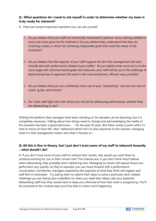#### <span id="page-9-0"></span>**Q : What questions do I need to ask myself in order to determine whether my team is truly ready for telework?**

A : There are several important questions you can ask yourself.

- 1. Do you believe that your staff are intrinsically motivated to perform versus feeling entitled to more and more given by the institution? Do you believe they understand that they are receiving a salary in return for achieving measurable goals that meet the needs of the institution?
- 2. Do you believe that the majority of your staff support the fact that management will (and should) deal with performance-related issues swiftly? Do you believe that, once we're on the same page with outcome-based goals and measures, your staff will be up to the challenge of determining how to approach the work in the most productive, efficient ways possible?
- 3. Do you believe that you can confidently move out of your "babysitting" role and into that of coach, guide, and mentor?
- 4. Do I have staff right now with whom you should be addressing performance, whether they are teleworking or not?

Shifting the platform that managers have been standing on for decades can be daunting, but it is completely necessary. Talking about how things need to change and acknowledging the reality of the situation has been a good admission . . . for the past 20 years. But there comes a point when it's time to move on from the "aha!" statement (which isn't so aha! anymore) to the solution, changing what it is that management means and what it focuses on.

#### <span id="page-9-1"></span>**Q: All this is fine in theory, but I just don't trust some of my staff to telework honestly – what should I do?**

A: If you don't trust some of your staff to achieve their results, why would you want them to continue working for you in their current role? The chances are, if you don't think they'll deliver when teleworking, they probably aren't delivering now. Managing to results will expose those nonperformers very quickly. As they're exposed, you can move forward with a performance conversation. Sometimes, managers experience the opposite of what they think will happen and staff feel re-motivated. Try asking them to submit their ideas to solve a particular work-related challenge you are having (put a deadline on when you need their ideas). Ask your potential teleworking staff how they would want to keep you informed of how their work is progressing. You'll be surprised at the creative ways you'll be able to notice work happening.

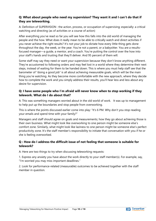#### <span id="page-10-0"></span>**Q: What about people who need my supervision? They want it and I can't do that if they are teleworking.**

A: Definition of SUPERVISION : the action, process, or occupation of supervising; especially: a critical watching and directing (as of activities or a course of action)

After everything you've read so far you will see how this falls into the old world of managing the people and the how. What does it really mean to be able to critically watch and direct activities if you never achieve the right results? It's not your job to dictate how every little thing gets done throughout the day, the week, or the year. You're not a parent, or a babysitter. You are a resultsfocused manager—a guide, a mentor, and a coach. You're putting the control over the how into your staff's hands and trusting that they'll deliver. And 95 percent of them will.

Some staff may say they need or want your supervision because they don't know anything different. They're accustomed to following orders and may feel lost in a world where they determine their next steps, instead of waiting for them to be handed down. This is where you must help staff see that the barometer of "doing a good job" is all about achieving measurable goals, which will be the main thing you're watching. As they become more comfortable with the new approach, where they decide how to complete the work and you simply address their results, you'll hear less and less about any desire for supervision.

#### <span id="page-10-1"></span>**Q: I have some people who I'm afraid will never know when to stop working if they telework. What do I do about that?**

A: This was something managers worried about in the old world of work. It was up to management to help put up the boundaries and stop people from overworking.

This is where the points discussed earlier come into play: "It's 6 PM. Why don't you stop reading your emails and spend time with your family?"

Managers and staff should agree on goals and measurements; how they go about achieving those is their own business. What might look like overworking to one person might be someone else's comfort zone. Similarly, what might look like laziness to one person might be someone else's perfect productivity zone. It's the staff member's responsibility to initiate that conversation with you if he or she is feeling overworked.

#### <span id="page-10-2"></span>**Q : How do I address the difficult issue of not feeling that someone is suitable for telework?**

A: Here are two things to try when discussing teleworking requests:

1. Express any anxiety you have about the work directly to your staff member(s). For example, say, "I'm worried you may miss important deadlines."

2. Look for performance-related (measurable) outcomes to be achieved together with the staff member in question.

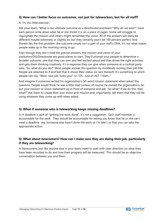#### <span id="page-11-0"></span>**Q: How can I better focus on outcomes, not just for teleworkers, but for all staff?**

#### A: Try this little exercise :

Ask your team, "What is our ultimate outcome as a directorate/unit/team? Why do we exist?" Have each person write down what he or she thinks it is on a piece of paper. Some will struggle to regurgitate the mission and others might remember the vision. All of the answers will likely be different, maybe extremely or slightly so, but they certainly won't be 100 percent perfect. And therein lies the first problem: the outcome simply isn't a part of your staff's DNA. It's not what makes people wake up in the morning raring to go.

Even though they don't hold the precise answers, the mission and vision of your institution/DG/Directorate are good places to start. They'll prompt your people to determine a broader outcome, one that they can own and feel excited about and that drives the right activities and gets them thinking creatively. It's a response they can give when someone at a cocktail party asks, "So, what do you do?" Most people answer this question by mindlessly reciting their job title. People are attached to it and feel that it shows their status (or lack thereof). It's something to which people can say, "Wow, nice job, lucky you!" or "Oh. Just an AST 1 then…"

And imagine if someone recited his organization's 50-word mission statement when asked this question. People would think he was a little mad (unless, of course, he owned the organisation). So put your mission or vision statement up in front of everyone and ask, "So what? If we do this, then what?" Ask them to create their own vision and mission and, importantly, tell them that they will be using whatever they come up with when asked.

#### <span id="page-11-1"></span>**Q: What if someone who is teleworking keeps missing deadlines?**

A: A deadline is part of "getting the work done"; it's not a suggestion. Each staff member is accountable for the work. They should be accountable for letting you know that he or she can't meet a deadline (eg. Someone else hasn't done the work so I'm late") so that you can take the appropriate action.

#### <span id="page-11-2"></span>**Q: What about newcomers? How can I make sure they are doing their job, particularly if they are teleworking?**

A: Newcomers, just like anyone else in your team, need to start with clear direction on what they have been recruited to do and how their progress will be measured. This should be an objective conversation between you and them.

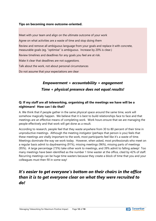#### <span id="page-12-0"></span>**Tips on becoming more outcome-oriented.**

Meet with your team and align on the ultimate outcome of your work Agree on what activities are a waste of time and stop doing them Review and remove all ambiguous language from your goals and replace it with concrete, measurable goals (eg. "optimise" is ambiguous. Increase by 20% is clear.) Review timelines and deadlines for any goals you feel are at risk. Make it clear that deadlines are not *suggestions.* Talk about the work, not about personal circumstances

Do not assume that your expectations are clear

# *Empowerment + accountability = engagement Time + physical presence does not equal results!*

#### <span id="page-12-1"></span>**Q: If my staff are all teleworking, organising all the meetings we have will be a nightmare! How can I do that?**

A. We think that if people gather in the same physical space around the same time, work will somehow magically happen. We believe that it is best to build relationships face to face and that meetings are an effective means of completing work. Work hours ensure that we are managing the people effectively and that work will get done as a result.

According to research, people feel that they waste anywhere from 30 to 80 percent of their time in unproductive meetings. Although the meeting instigator (perhaps that person is you) feels that these meetings are vitally important to the work, most participants feel like it's a waste of time. Meetings dominate the way we work today. However, when asked, most professionals who meet on a regular basis admit to daydreaming (91%), missing meetings (96%), missing parts of meetings (95%). A large percentage (73%) take other work to meetings, and 39% admit to falling asleep! Too many meetings have been identified as the number 1 time waster at the office, cited by 42% of staff. Recurring meetings can be huge time wasters because they create a block of time that you and your colleagues must then fill in some way!

# *It's easier to get everyone's bottom on their chairs in the office than it is to get everyone clear on what they were recruited to do!*

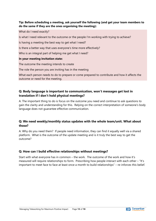#### **Tip: Before scheduling a meeting, ask yourself the following (and get your team members to do the same if they are the ones organising the meeting):**

#### What do I need exactly?

Is what I need relevant to the outcome or the people I'm working with trying to achieve?

Is having a meeting the best way to get what I need?

Is there a better way that uses everyone's time more effectively?

Who is an integral part of helping me get what I need?

#### **In your meeting invitation state:**

The outcome the meeting intends to create

The role the person you are inviting has in the meeting

What each person needs to do to prepare or come prepared to contribute and how it affects the outcome or need for the meeting.

#### <span id="page-13-0"></span>**Q: Body language is important to communication, won't messages get lost in translation if I don't hold physical meetings?**

A: The important thing to do is focus on the outcome you need and continue to ask questions to gain the clarity and understanding for this. Relying on the correct interpretation of someone's body language does not guarantee effective communication.

#### <span id="page-13-1"></span>**Q: We need weekly/monthly status updates with the whole team/unit. What about those?**

A: Why do you need them? If people need information, they can find it equally well via a shared platform. What is the outcome of the update meeting and is it truly the best way to get the outcome?

#### <span id="page-13-2"></span>**Q: How can I build effective relationships without meetings?**

Start with what everyone has in common – the work. The outcome of the work and how it's measured will require relationships to form. Prescribing how people interact with each other – "It's important to meet face to face at least once a month to build relationships" – re-inforces this belief.

![](_page_13_Picture_17.jpeg)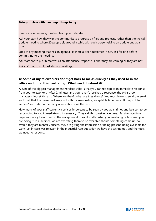#### **Being ruthless with meetings: things to try:**

Remove one recurring meeting from your calendar

Ask your staff how they want to communicate progress on files and projects, rather than the typical update meeting where 20 people sit around a table with each person giving an update one at a time.

Look at any meeting that has an agenda. Is there a clear outcome? If not, ask for one before committing to the meeting.

Ask staff not to put "tentative" as an attendance response. Either they are coming or they are not.

Ask staff not to multitask during meetings.

#### <span id="page-14-0"></span>**Q: Some of my teleworkers don't get back to me as quickly as they used to in the office and I find this frustrating. What can I do about it?**

A: One of the biggest management mindset shifts is that you cannot expect an immediate response from your teleworkers. After 2 minutes and you haven't received a response, the old-school manager mindset kicks in. Where are they? What are they doing? You must learn to send the email and trust that the person will respond within a reasonable, acceptable timeframe. It may not be within 2 seconds, but perfectly acceptable none the less.

How many of your staff currently see it as important to be seen by you at all times and be seen to be responding to you immediately… if necessary. They call this passive face time. Passive face time requires merely being seen in the workplace, it doesn't matter what you are doing or how well you are doing it. In a nutshell, we are expecting them to be available should something come up, so even if they are mentally absent, they are giving the impression of being present. Being available for work just in case was relevant in the Industrial Age but today we have the technology and the tools we need to respond.

![](_page_14_Picture_10.jpeg)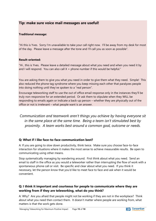#### **Tip: make sure voice mail messages are useful!**

#### **Traditional message:**

"Hi this is Yves. Sorry I'm unavailable to take your call right now. I'll be away from my desk for most of the day. Please leave a message after the tone and I'll call you as soon as possible".

#### **Result-oriented:**

"Hi , this is Yves. Please leave a detailed message about what you need and when you need it by and I will respond. You can also call  $X +$  phone number if this would be helpful."

You are asking them to give you what you need in order to give them what they need. Simple! This also reduced the phone tag syndrome where you keep missing each other that paralyzes people into doing nothing until they've spoken to a "real person".

Encourage teleworking staff to use the out of office email response only in the instances they'll be truly non-responsive for an extended period. Or ask them to stipulate when they WILL be responding to emails again or indicate a back-up person – whether they are physically out of the office or not is irrelevant – what people want is an answer.

*Communication and teamwork aren't things you achieve by having everyone sit in the same place at the same time. Being a team isn't stimulated best by proximity. A team works best around a common goal, outcome or needs.*

#### <span id="page-15-0"></span>**Q: What if I like face-to-face communication best?**

A: If you are going to slow down productivity, think twice. Make sure you choose face-to-face interaction for situations where it makes the most sense to achieve measurable results. Be open to communicating using other means.

Stop systematically managing by wandering around. First think about what you need. Send an email to staff in the office as you would a teleworker rather than interrupting the flow of work with a spontaneous phone call or visit. Be specific and clear about what you need. If you think it necessary, let the person know that you'd like to meet face to face and ask when it would be convenient.

#### <span id="page-15-1"></span>**Q: I think it important and courteous for people to communicate where they are working from if they are teleworking, what do you think?**

A: Why? Are you afraid that people might not be working if they are not in the workplace? Think about what you need then contact them. It doesn't matter where people are working from, what matters is that the work gets done.

![](_page_15_Picture_14.jpeg)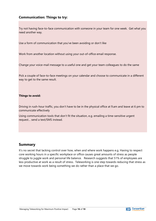#### <span id="page-16-0"></span>**Communication: Things to try:**

Try not having face-to-face communication with someone in your team for one week. Get what you need another way.

Use a form of communication that you've been avoiding or don't like

Work from another location without using your out-of-office email response.

Change your voice-mail message to a useful one and get your team colleagues to do the same

Pick a couple of face-to-face meetings on your calendar and choose to communicate in a different way to get to the same result.

#### **Things to avoid:**

Driving in rush-hour traffic, you don't have to be in the physical office at 9.am and leave at 6 pm to communicate effectively

Using communication tools that don't fit the situation, e.g. emailing a time-sensitive urgent request… send a text/SMS instead.

#### <span id="page-16-1"></span>**Summary**

It's no secret that lacking control over how, when and where work happens e.g. Having to respect core working hours in a specific workplace or office causes great amounts of stress as people struggle to juggle work and personal life balance. Research suggests that 51% of employees are less productive at work as a result of stress. Teleworking is one step towards reducing that stress as we move towards work being something we do rather than a place that we go.

![](_page_16_Picture_12.jpeg)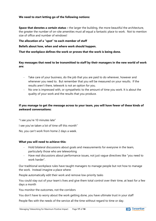#### **We need to start letting go of the following notions:**

**Space that denotes a certain status –** the larger the building, the more beautiful the architecture, the greater the number of on-site amenities must all equal a fantastic place to work. Not to mention size of office and number of windows!

#### **The allocation of a "spot" to each member of staff**

**Beliefs about how, when and where work should happen.**

**That the workplace defines the work or proves that the work is being done.**

#### **Key messages that need to be transmitted to staff by their managers in the new world of work are:**

- Take care of your business, do the job that you are paid to do wherever, however and whenever you need to. But remember that you will be measured on your results. If the results aren't there, telework is not an option for you.
- No one is impressed with, or sympathetic to the amount of time you work. It is about the quality of your work and the results that you produce.

#### **If you manage to get the message across to your team, you will have fewer of these kinds of awkward conversations:**

"I see you're 10 minutes late" I see you've taken a lot of time off this month" No, you can't work from home 2 days a week.

#### **What you will need to achieve this:**

- Hold bilateral discussions about goals and measurements for everyone in the team, particularly those who are teleworking
- Have real discussions about performance issues, not just vague directives like "you need to work harder".

Our traditional workplace rules have taught managers to manage people but not how to manage the work. Instead imagine a place where:

People automatically edit their work and remove low-priority tasks

You could stay out of your team's lives and give them total control over their time, at least for a few days a month

You monitor the outcomes, not the corridors

You don't have to worry about the work getting done, you have ultimate trust in your staff

People flex with the needs of the service all the time without regard to time or day.

![](_page_17_Picture_20.jpeg)